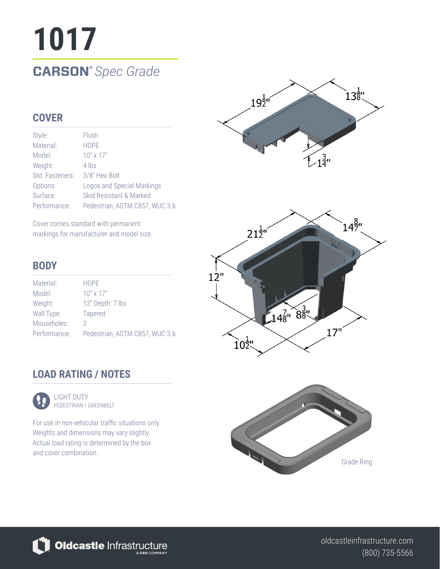# **1017 CARSON®** *Spec Grade*

## **COVER**

| Style:          | Flush                          |
|-----------------|--------------------------------|
| Material:       | <b>HDPF</b>                    |
| Model:          | $10'' \times 17''$             |
| Weight:         | 4 lbs                          |
| Std. Fasteners: | 3/8" Hex Bolt                  |
| Options:        | Logos and Special Markings     |
| Surface:        | Skid Resistant & Marked        |
| Performance:    | Pedestrian, ASTM C857, WUC 3.6 |

Cover comes standard with permanent markings for manufacturer and model size.

### **BODY**

| Material:    | <b>HDPF</b>                    |
|--------------|--------------------------------|
| Model:       | $10'' \times 17''$             |
| Weight:      | 12" Depth: 7 lbs               |
| Wall Type:   | <b>Tapered</b>                 |
| Mouseholes:  | ')                             |
| Performance: | Pedestrian, ASTM C857, WUC 3.6 |



## **LOAD RATING / NOTES**



LIGHT DUTY PEDESTRIAN / GREENBELT

For use in non-vehicular traffic situations only. Weights and dimensions may vary slightly. Actual load rating is determined by the box and cover combination.



Oldcastle Infrastructure

(800) 735-5566 oldcastleinfrastructure.com